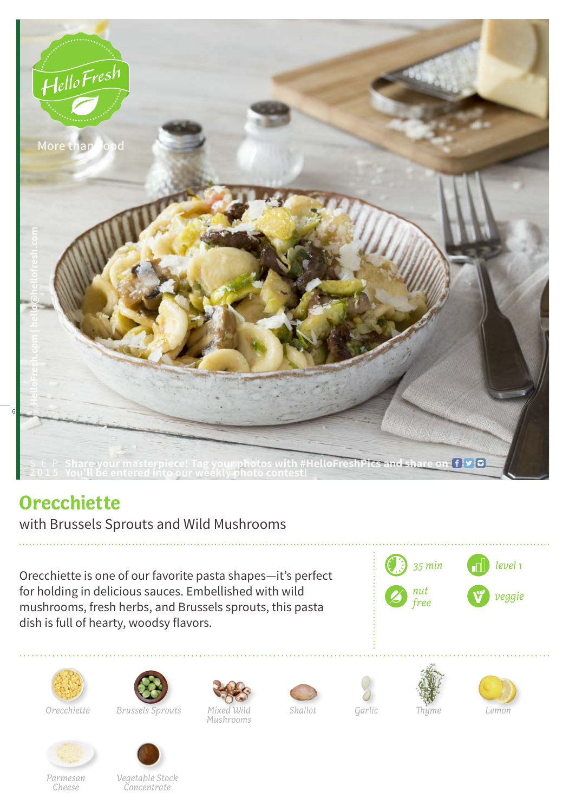

## **Orecchiette**

with Brussels Sprouts and Wild Mushrooms

Orecchiette is one of our favorite pasta shapes—it's perfect for holding in delicious sauces. Embellished with wild mushrooms, fresh herbs, and Brussels sprouts, this pasta dish is full of hearty, woodsy flavors.





*Parmesan Cheese*



*Mixed Wild Orecchiette Shallot Lemon Brussels Sprouts*















*Mushrooms*

*Garlic*